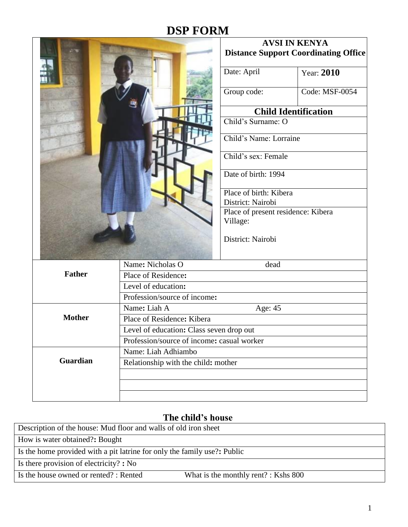# **DSP FORM**

|                 |                                            | <b>AVSI IN KENYA</b><br><b>Distance Support Coordinating Office</b> |                             |  |
|-----------------|--------------------------------------------|---------------------------------------------------------------------|-----------------------------|--|
|                 |                                            | Date: April                                                         | Year: 2010                  |  |
|                 |                                            | Group code:                                                         | Code: MSF-0054              |  |
|                 |                                            |                                                                     | <b>Child Identification</b> |  |
|                 |                                            | Child's Surname: O                                                  |                             |  |
|                 |                                            | Child's Name: Lorraine                                              |                             |  |
|                 |                                            | Child's sex: Female                                                 |                             |  |
|                 |                                            | Date of birth: 1994                                                 |                             |  |
|                 |                                            | Place of birth: Kibera                                              |                             |  |
|                 |                                            | District: Nairobi                                                   |                             |  |
|                 |                                            | Place of present residence: Kibera<br>Village:                      |                             |  |
|                 |                                            | District: Nairobi                                                   |                             |  |
|                 | Name: Nicholas O                           | dead                                                                |                             |  |
| <b>Father</b>   | Place of Residence:                        |                                                                     |                             |  |
|                 | Level of education:                        |                                                                     |                             |  |
|                 | Profession/source of income:               |                                                                     |                             |  |
|                 | Name: Liah A                               | Age: 45                                                             |                             |  |
| <b>Mother</b>   | Place of Residence: Kibera                 |                                                                     |                             |  |
|                 | Level of education: Class seven drop out   |                                                                     |                             |  |
|                 | Profession/source of income: casual worker |                                                                     |                             |  |
|                 | Name: Liah Adhiambo                        |                                                                     |                             |  |
| <b>Guardian</b> | Relationship with the child: mother        |                                                                     |                             |  |
|                 |                                            |                                                                     |                             |  |
|                 |                                            |                                                                     |                             |  |
|                 |                                            |                                                                     |                             |  |

## **The child's house**

| Description of the house: Mud floor and walls of old iron sheet          |                                      |  |
|--------------------------------------------------------------------------|--------------------------------------|--|
| How is water obtained?: Bought                                           |                                      |  |
| Is the home provided with a pit latrine for only the family use?: Public |                                      |  |
| Is there provision of electricity? : No                                  |                                      |  |
| Is the house owned or rented? : Rented                                   | What is the monthly rent? : Kshs 800 |  |